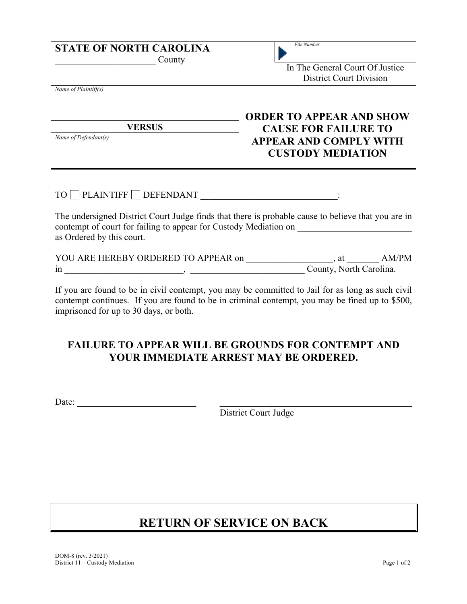| <b>STATE OF NORTH CAROLINA</b><br>County                      | File Number<br>In The General Court Of Justice<br><b>District Court Division</b>                                            |
|---------------------------------------------------------------|-----------------------------------------------------------------------------------------------------------------------------|
| Name of Plaintiff(s)<br><b>VERSUS</b><br>Name of Defendant(s) | <b>ORDER TO APPEAR AND SHOW</b><br><b>CAUSE FOR FAILURE TO</b><br><b>APPEAR AND COMPLY WITH</b><br><b>CUSTODY MEDIATION</b> |

## $TO \ \blacksquare$  PLAINTIFF  $\blacksquare$  DEFENDANT  $\blacksquare$  :

The undersigned District Court Judge finds that there is probable cause to believe that you are in contempt of court for failing to appear for Custody Mediation on \_\_\_\_\_\_\_\_\_\_\_\_\_\_\_\_\_\_\_\_\_\_ as Ordered by this court.

| YOU ARE HEREBY ORDERED TO APPEAR on | AM/PM<br>at             |
|-------------------------------------|-------------------------|
| 1n                                  | County, North Carolina. |

If you are found to be in civil contempt, you may be committed to Jail for as long as such civil contempt continues. If you are found to be in criminal contempt, you may be fined up to \$500, imprisoned for up to 30 days, or both.

## **FAILURE TO APPEAR WILL BE GROUNDS FOR CONTEMPT AND YOUR IMMEDIATE ARREST MAY BE ORDERED.**

Date: \_\_\_\_\_\_\_\_\_\_\_\_\_\_\_\_\_\_\_\_\_\_\_\_\_\_ \_\_\_\_\_\_\_\_\_\_\_\_\_\_\_\_\_\_\_\_\_\_\_\_\_\_\_\_\_\_\_\_\_\_\_\_\_\_\_\_\_\_

District Court Judge

## **RETURN OF SERVICE ON BACK**